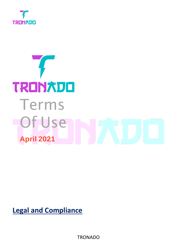

# TRONTOO Terms Of Use **April 2021**

**Legal and Compliance**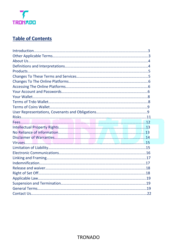

# **Table of Contents**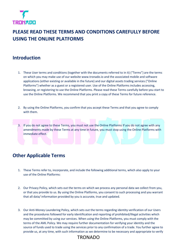

# **PLEASE READ THESE TERMS AND CONDITIONS CAREFULLY BEFORE USING THE ONLINE PLATFORMS**

#### **Introduction**

- 1. These User terms and conditions (together with the documents referred to in it) ("Terms") are the terms on which you may make use of our website www.tronado.io and the associated mobile and software applications (either existing or available in the future) and our digital assets trading services ("Online Platforms") whether as a guest or a registered user. Use of the Online Platforms includes accessing, browsing, or registering to use the Online Platforms. Please read these Terms carefully before you start to use the Online Platforms. We recommend that you print a copy of these Terms for future reference.
- 2. By using the Online Platforms, you confirm that you accept these Terms and that you agree to comply with them.
- 3. If you do not agree to these Terms, you must not use the Online Platforms If you do not agree with any amendments made by these Terms at any time in future, you must stop using the Online Platforms with immediate effect.

# **Other Applicable Terms**

- 1. These Terms refer to, incorporate, and include the following additional terms, which also apply to your use of the Online Platforms:
- 2. Our Privacy Policy, which sets out the terms on which we process any personal data we collect from you, or that you provide to us. By using the Online Platforms, you consent to such processing and you warrant that all data/ information provided by you is accurate, true and updated.
- 3. Our Anti-Money Laundering Policy, which sets out the terms regarding identity verification of our Users and the procedures followed for early identification and reporting of prohibited/illegal activities which may be committed by using our services. When using the Online Platforms, you must comply with the terms of the AML Policy. We may require further documentation for verifying your identity and the source of funds used to trade using the services prior to any confirmation of a trade. You further agree to provide us, at any time, with such information as we determine to be necessary and appropriate to verify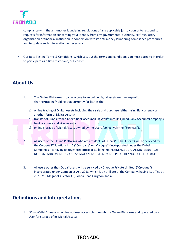

compliance with the anti-money laundering regulations of any applicable jurisdiction or to respond to requests for information concerning your identity from any governmental authority, self-regulatory organization or financial institution in connection with its anti-money laundering compliance procedures, and to update such information as necessary.

4. Our Beta Testing Terms & Conditions, which sets out the terms and conditions you must agree to in order to participate as a Beta tester and/or Licensee.

#### **About Us**

- 1. The Online Platforms provide access to an online digital assets exchange/profit sharing/trading/holding that currently facilitates the:
	- a) online trading of Digital Assets including their sale and purchase (either using fiat currency or another form of Digital Assets),
	- b) transfer of Funds from a User's Bank account/Fiat Wallet into its Linked Bank Account/Company's bank accounts and vice versa, and
	- c) online storage of Digital Assets owned by the Users (collectively the "Services").
- 2. All users of the Online Platforms who are residents of Dubai ("Dubai Users") will be serviced by the Crypque IT Solutions L.L.C ("Company" or "Crypque") incorporated under the Dubai Companies Act having its registered office at Building no. RESIDENCE 1072 AL MUTEENA PLOT NO. 346 LAND DM NO. 123-1072, MAKANI NO. 31665 96615 PROPERTY NO. OFFICE 8C-0441.
- 3. All users other than Dubai Users will be serviced by Crypque Private Limited ("Crypque") incorporated under Companies Act, 2013, which is an affiliate of the Company, having its office at 257, JMD Megapolis Sector 48, Sohna Road Gurgaon, India.

# **Definitions and Interpretations**

1. "Coin Wallet" means an online address accessible through the Online Platforms and operated by a User for storage of its Digital Assets;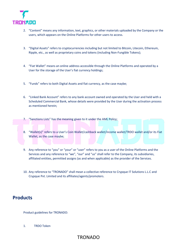

- 2. "Content" means any information, text, graphics, or other materials uploaded by the Company or the users, which appears on the Online Platforms for other users to access.
- 3. "Digital Assets" refers to cryptocurrencies including but not limited to Bitcoin, Litecoin, Ethereum, Ripple, etc., as well as proprietary coins and tokens (including Non-Fungible Tokens);
- 4. "Fiat Wallet" means an online address accessible through the Online Platforms and operated by a User for the storage of the User's fiat currency holdings;
- 5. "Funds" refers to both Digital Assets and fiat currency, as the case maybe;
- 6. "Linked Bank Account" refers to any bank account owned and operated by the User and held with a Scheduled Commercial Bank, whose details were provided by the User during the activation process as mentioned herein;
- 7. "Sanctions Lists" has the meaning given to it under the AML Policy;
- 8. "Wallet(s)" refers to a User's Coin Wallet/cashback wallet/income wallet/TRDO wallet and/or its Fiat Wallet, as the case maybe;
- 9. Any reference to "you" or "your" or "user" refers to you as a user of the Online Platforms and the Services and any reference to "we", "our" and "us" shall refer to the Company, its subsidiaries, affiliated entities, permitted assigns (as and when applicable) as the provider of the Services.
- 10. Any reference to "TRONADO" shall mean a collective reference to Crypque IT Solutions L.L.C and Crypque Pvt. Limited and its affiliates/agents/promoters.

TRONADO

### **Products**

Product guidelines for TRONADO:

1. TRDO Token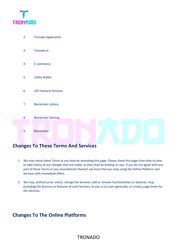

- 2. Tronado Application
- 3. Tronado.io
- 4. E commerce
- 5. Utility Wallet
- 6. UPI Payment Services
- 7. Blockchain Lottery
- 8. Blockchain Gaming
- 9. Blockchain

### **Changes To These Terms And Services**

- 1. We may revise these Terms at any time by amending this page. Please check this page from time to time to take notice of any changes that are made, as they shall be binding on you. If you do not agree with any part of these Terms or any amendments thereof, we insist that you stop using the Online Platform and Services with immediate effect.
- 2. We may, without prior notice, change the Services; add or remove functionalities or features; stop providing the Services or features of such Services, to you or to users generally; or create usage limits for the Services.

#### **Changes To The Online Platforms**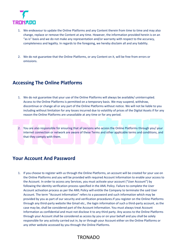

- 1. We endeavour to update the Online Platforms and any Content therein from time to time and may also change, replace or remove the Content at any time. However, the information provided herein is on an "as is" basis and we do not make any representation and/or warranty with respect to the accuracy, completeness and legality. In regards to the foregoing, we hereby disclaim all and any liability.
- 2. We do not guarantee that the Online Platforms, or any Content on it, will be free from errors or omissions.

#### **Accessing The Online Platforms**

- 1. We do not guarantee that your use of the Online Platforms will always be available/ uninterrupted. Access to the Online Platforms is permitted on a temporary basis. We may suspend, withdraw, discontinue or change all or any part of the Online Platforms without notice. We will not be liable to you including without limitation for any losses incurred due to volatility of prices of the Digital Assets if for any reason the Online Platforms are unavailable at any time or for any period.
- 2. You are also responsible for ensuring that all persons who access the Online Platforms through you/ your internet connection or network are aware of these Terms and other applicable terms and conditions, and that they comply with them.

#### **Your Account And Password**

1. If you choose to register with us through the Online Platforms, an account will be created for your use on the Online Platforms and you will be provided with required Account Information to enable your access to the Account. In order to access any Services, you must activate your account ("User Account") by following the identity verification process specified in the AML Policy. Failure to complete the User Account activation process as per the AML Policy will entitle the Company to terminate the said User Account. The term "Account Information" refers to a password and such information which may be provided by you as part of our security and verification procedures.If you register on the Online Platforms through any third-party website like Gmail etc., the login information of such a third-party account, as the case may be, shall be considered part of the Account Information. You must always treat Account Information as confidential and must not disclose it to any third party. Any access to the Online Platforms through your Account shall be considered as access by you or on your behalf and you shall be solely responsible for any activity carried out in, by or through your Account either on the Online Platforms or any other website accessed by you through the Online Platforms.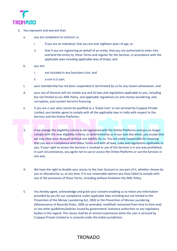

- 2. You represent and warrant that:
	- a. you are competent to contract i.e.
		- i. if you are an individual, that you are over eighteen years of age, or
		- ii. that if you are registering on behalf of an entity, that you are authorized to enter into, and bind the entity to, these Terms and register for the Services, in accordance with the applicable laws including applicable laws of Dubai; and
	- b. you are:
		- i. not included in any Sanctions Lists; and
		- ii. a non-U.S user;
	- c. your membership has not been suspended or terminated by us for any reason whatsoever; and
	- d. your use of Services will not violate any and all laws and regulations applicable to you, including but not limited to our AML Policy, and applicable regulations on anti-money laundering, anticorruption, and counter-terrorist financing
	- e. if you are a user who cannot be qualified as a 'Dubai User' or are serviced by Crypque Private Limited, you hereby agree to comply with all the applicable laws in India with respect to the Services and the Online Platforms.
	- 3. If we change the eligibility criteria to be registered with the Online Platforms and you no longer comply with the new eligibility criteria, as determined by us in our sole discretion, you accept that we may close your Account without any liability for us. You are solely responsible for ensuring that you are in compliance with these Terms and with all laws, rules and regulations applicable to you. If your right to access the Services is revoked or use of the Services is in any way prohibited, in such circumstances, you agree not to use or access the Online Platforms or use the Services in any way.
	- 4. We have the right to disable your access to the User Account or any part of it, whether chosen by you or allocated by us, at any time, if in our reasonable opinion you have failed to comply with any of the provisions of these Terms, including without limitation the AML Policy.
	- 5. You hereby agree, acknowledge and grant your consent enabling us to retain any information provided by you for our compliance under applicable laws including but not limited to the Prevention of the Money Laundering Act, 2002 or the Prevention of Money Laundering (Maintenance of Records) Rules, 2005 as amended, modified/ reenacted from time to time and/ or any other guidelines/policies issued by government/ statutory authorities or any regulatory bodies in this regard. This clause shall be of utmost importance when the user is serviced by Crypque Private Limited or is covered under the Indian jurisdiction.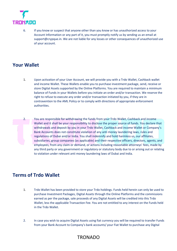

6. If you know or suspect that anyone other than you know or has unauthorized access to your Account Information or any part of it, you must promptly notify us by sending us an email at support@crypque.in. We are not liable for any losses or other consequences of unauthorized use of your account.

# **Your Wallet**

- 1. Upon activation of your User Account, we will provide you with a Trdo Wallet, Cashback wallet and income Wallet. These Wallets enable you to purchase investment package, send, receive or store Digital Assets supported by the Online Platforms. You are required to maintain a minimum balance of Funds in your Wallets before you initiate an order and/or transaction. We reserve the right to refuse to execute any order and/or transaction initiated by you, if they are in contravention to the AML Policy or to comply with directions of appropriate enforcement authorities.
- 2. You are responsible for withdrawing the funds from your Trdo Wallet, Cashback and income Wallet and it shall be your responsibility to disclose the proper source of funds. You declare that withdrawals and deposit by you in your Trdo Wallet, Cashback and income Wallet or Company's Bank Accounts does not constitute violation of any anti money laundering laws, rules and regulations of Dubai and/or India. You shall indemnify and hold harmless us, our affiliates, subsidiaries, group companies (as applicable) and their respective officers, directors, agents, and employees, from any claim or demand, or actions including reasonable attorneys' fees, made by any third party or any government or regulatory or statutory body due to or arising out or relating to violation under relevant anti money laundering laws of Dubai and India.

### **Terms of Trdo Wallet**

- 1. Trdo Wallet has been provided to store your Trdo holdings. Funds held herein can only be used to purchase Investment Packages, Digital Assets through the Online Platforms and the commissions earned as per the package, sale proceeds of any Digital Assets will be credited into this Trdo Wallet, less the applicable Transaction Fee. You are not entitled to any interest on the Funds held in the Trdo Wallet.
- 2. In case you wish to acquire Digital Assets using fiat currency you will be required to transfer Funds from your Bank Account to Company's bank accounts/ your Fiat Wallet to purchase any Digital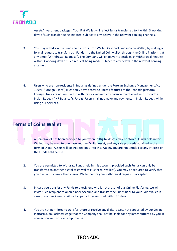

Assets/Investment packages. Your Fiat Wallet will reflect funds transferred to it within 3 working days of such transfer being initiated, subject to any delays in the relevant banking channels.

- 3. You may withdraw the Funds held in your Trdo Wallet, Cashback and income Wallet, by making a formal request to transfer such Funds into the Linked Coin wallet, through the Online Platforms at any time ("Withdrawal Request"). The Company will endeavor to settle each Withdrawal Request within 3 working days of such request being made, subject to any delays in the relevant banking channels.
- 4. Users who are non-residents in India (as defined under the Foreign Exchange Management Act, 1999) ("Foreign Users") might only have access to limited features of the Tronado platform. Foreign Users are not entitled to withdraw or redeem any balance maintained with Tronado in Indian Rupee ("INR Balance"). Foreign Users shall not make any payments in Indian Rupees while using our Services.

# **Terms of Coins Wallet**

- 1. A Coin Wallet has been provided to you wherein Digital Assets may be stored. Funds held in this Wallet may be used to purchase another Digital Asset, and any sale proceeds obtained in the form of Digital Assets will be credited only into this Wallet. You are not entitled to any interest on the Funds held herein.
- 2. You are permitted to withdraw Funds held in this account, provided such Funds can only be transferred to another digital asset wallet ("External Wallet"). You may be required to verify that you own and operate the External Wallet before your withdrawal request is accepted.
- 3. In case you transfer any Funds to a recipient who is not a User of our Online Platforms, we will invite such recipient to open a User Account, and transfer the Funds back to your Coin Wallet in case of such recipient's failure to open a User Account within 30 days.
- 4. You are not permitted to transfer, store or receive any digital assets not supported by our Online Platforms. You acknowledge that the Company shall not be liable for any losses suffered by you in connection with your attempt Clause.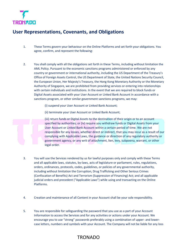

# **User Representations, Covenants, and Obligations**

- 1. These Terms govern your behaviour on the Online Platforms and set forth your obligations. You agree, confirm, and represent the following:
- 2. You shall comply with all the obligations set forth in these Terms, including without limitation the AML Policy. Pursuant to the economic sanctions programs administered or enforced by any country or government or international authority, including the US Department of the Treasury's Office of Foreign Assets Control, the US Department of State, the United Nations Security Council, the European Union, Her Majesty's Treasury, the Hong Kong Monetary Authority or the Monetary Authority of Singapore, we are prohibited from providing services or entering into relationships with certain individuals and institutions. In the event that we are required to block funds or Digital Assets associated with your User Account or Linked Bank Account in accordance with a sanctions program, or other similar government sanctions programs, we may:
	- (i) suspend your User Account or Linked Bank Account;
	- (ii) terminate your User Account or Linked Bank Account;

(iii) return funds or Digital Assets to the destination of their origin or to an account specified by authorities; or (iv) require you withdraw funds or Digital Assets from your User Account or Linked Bank Account within a certain period of time. We are not responsible for any losses, whether direct or indirect, that you may incur as a result of our complying with Applicable Laws, the guidance or direction of any regulatory authority or government agency, or any writ of attachment, lien, levy, subpoena, warrant, or other legal order.

- 3. You will use the Services rendered by us for lawful purposes only and comply with these Terms and all applicable laws, statutes, by-laws, acts of legislature or parliament, rules, regulations, orders, ordinances, protocols, codes, guidelines, or policies of any governmental authority, including without limitation the Corruption, Drug Trafficking and Other Serious Crimes (Confiscation of Benefits) Act and Terrorism (Suppression of Financing) Act; and all applicable judicial orders and precedent ("Applicable Laws") while using and transacting on the Online Platforms.
- 4. Creation and maintenance of all Content in your Account shall be your sole responsibility.
- 5. You are responsible for safeguarding the password that you use as a part of your Account Information to access the Services and for any activities or actions under your Account. We encourage you to use "strong" passwords preferably using a combination of upper- and lowercase letters, numbers and symbols with your Account. The Company will not be liable for any loss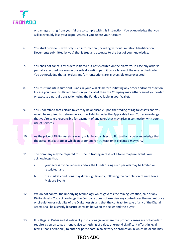

or damage arising from your failure to comply with this instruction. You acknowledge that you will irreversibly lose your Digital Assets if you delete your Account.

- 6. You shall provide us with only such information (including without limitation Identification Documents submitted by you) that is true and accurate to the best of your knowledge.
- 7. You shall not cancel any orders initiated but not executed on the platform. In case any order is partially executed, we may in our sole discretion permit cancellation of the unexecuted order. You acknowledge that all orders and/or transactions are irreversible once executed.
- 8. You must maintain sufficient Funds in your Wallets before initiating any order and/or transaction. In case you have insufficient funds in your Wallet then the Company may either cancel your order or execute a partial transaction using the Funds available in your Wallet.
- 9. You understand that certain taxes may be applicable upon the trading of Digital Assets and you would be required to determine your tax liability under the Applicable Laws. You acknowledge that you're solely responsible for payment of any taxes that may arise in connection with your use of Services.
- 10. As the price of Digital Assets are very volatile and subject to fluctuation, you acknowledge that the actual market rate at which an order and/or transaction is executed may vary.
- 11. The Company may be required to suspend trading in cases of a force majeure event. You acknowledge that:
	- a. your access to the Services and/or the Funds during such periods may be limited or restricted; and
	- b. the market conditions may differ significantly, following the completion of such Force Majeure Events.
- 12. We do not control the underlying technology which governs the mining, creation, sale of any Digital Assets. You acknowledge the Company does not exercise any control over the market price or circulation or volatility of the Digital Assets and that the contract for sale of any of the Digital Assets shall be a strictly bipartite contract between the seller and the buyer.
- 13. It is illegal in Dubai and all relevant jurisdictions (save where the proper licenses are obtained) to require a person to pay money, give something of value, or expend significant effort (in legal terms, "consideration") to enter or participate in an activity or promotion in which he or she may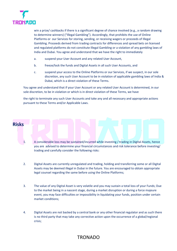

win a prize/ cashbacks if there is a significant degree of chance involved (e.g., a random drawing to determine winners) ("Illegal Gambling"). Accordingly, that prohibits the use of Online Platforms or our Services for storing, sending, or receiving wagers or proceeds of Illegal Gambling. Proceeds derived from trading contracts for differences and spread bets on licensed and regulated platforms do not constitute Illegal Gambling or a violation of any gambling laws of India and Dubai. You agree and understand that we have the right to immediately

- a. suspend your User Account and any related User Account,
- b. freeze/lock the funds and Digital Assets in all such User Accounts, and
- c. suspend your access to the Online Platforms or our Services, if we suspect, in our sole discretion, any such User Account to be in violation of applicable gambling laws of India & Dubai, which is a direct violation of these Terms.

You agree and understand that if your User Account or any related User Account is determined, in our sole discretion, to be in violation or which is in direct violation of these Terms, we have

the right to terminate any such User Accounts and take any and all necessary and appropriate actions pursuant to these Terms and/or Applicable Laws.

#### **Risks**

- 1. A considerable loss may be sustained/incurred while investing / trading in Digital Assets, hence you are advised to determine your financial circumstances and risk tolerance before investing/ trading and carefully consider the following risks:
- 2. Digital Assets are currently unregulated and trading, holding and transferring some or all Digital Assets may be deemed illegal in Dubai in the future. You are encouraged to obtain appropriate legal counsel regarding the same before using the Online Platforms;
- 3. The value of any Digital Asset is very volatile and you may sustain a total loss of your Funds; Due to the market being in a nascent stage, during a market disruption or during a force majeure event, you may face difficulties or impossibility in liquidating your funds, position under certain market conditions;
- 4. Digital Assets are not backed by a central bank or any other financial regulator and as such there is no third party that may take any corrective action upon the occurrence of a global/regional crisis;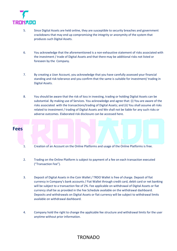

- 5. Since Digital Assets are held online, they are susceptible to security breaches and government crackdowns that may end up compromising the integrity or anonymity of the system that produces such Digital Assets.
- 6. You acknowledge that the aforementioned is a non-exhaustive statement of risks associated with the investment / trade of Digital Assets and that there may be additional risks not listed or foreseen by the Company.
- 7. By creating a User Account, you acknowledge that you have carefully assessed your financial standing and risk tolerance and you confirm that the same is suitable for investment/ trading in Digital Assets.
- 8. You should be aware that the risk of loss in investing, trading or holding Digital Assets can be substantial. By making use of Services. You acknowledge and agree that: (i) You are aware of the risks associated with the transactions/trading of Digital Assets; and (ii) You shall assume all risks related to investment / trading of Digital Assets and We shall not be liable for any such risks or adverse outcomes. Elaborated risk disclosure can be accessed here.
- **Fees** 1. Creation of an Account on the Online Platforms and usage of the Online Platforms is free.
	-
	- 2. Trading on the Online Platform is subject to payment of a fee on each transaction executed ("Transaction Fee").
	- 3. Deposit of Digital Assets in the Coin Wallet / TRDO Wallet is free of charge. Deposit of fiat currency in Company's bank accounts / Fiat Wallet through credit card, debit card or net banking will be subject to a transaction fee of 2%. Fee applicable on withdrawal of Digital Assets or fiat currency shall be as provided in the Fee Schedule available on the withdrawal dashboard. Deposits and withdrawals on Digital Assets or fiat currency will be subject to withdrawal limits available on withdrawal dashboard.
	- 4. Company hold the right to change the applicable fee structure and withdrawal limits for the user anytime without prior information.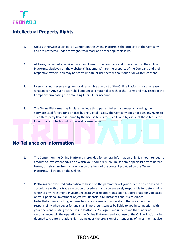

## **Intellectual Property Rights**

- 1. Unless otherwise specified, all Content on the Online Platform is the property of the Company and are protected under copyright, trademark and other applicable laws.
- 2. All logos, trademarks, service marks and logos of the Company and others used on the Online Platforms, displayed on the website, ("Trademarks") are the property of the Company and their respective owners. You may not copy, imitate or use them without our prior written consent.
- 3. Users shall not reverse engineer or disassemble any part of the Online Platforms for any reason whatsoever. Any such action shall amount to a material breach of the Terms and may result in the Company terminating the defaulting Users' User Account
- 4. The Online Platforms may in places include third party intellectual property including the software used for creating or distributing Digital Assets. The Company does not own any rights to such third-party IP and is bound by the license terms for such IP and by virtue of these terms the Users shall also be bound by the said license terms.

#### **No Reliance on Information**

- 1. The Content on the Online Platforms is provided for general information only. It is not intended to amount to investment advice on which you should rely. You must obtain specialist advice before taking, or refraining from, any action on the basis of the content provided on the Online Platforms. All trades on the Online.
- 2. Platforms are executed automatically, based on the parameters of your order instructions and in accordance with our trade execution procedures, and you are solely responsible for determining whether any investment, investment strategy or related transaction is appropriate for you based on your personal investment objectives, financial circumstances and risk tolerance. Notwithstanding anything in these Terms, you agree and understand that we accept no responsibility whatsoever for and shall in no circumstances be liable to you in connection with your decisions relating to the Online Platforms. You agree and understand that under no circumstances will the operation of the Online Platforms and your use of the Online Platforms be deemed to create a relationship that includes the provision of or tendering of investment advice.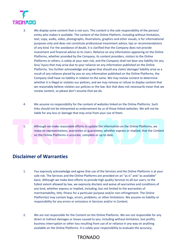

- 3. We display some content that is not ours. This content is the sole responsibility of the person/ entity who makes it available. The content of the Online Platform, including without limitation, text, copy, audio, video, photographs, illustrations, graphics and other visuals, is for informational purposes only and does not constitute professional investment advice, tips or recommendations of any kind. For the avoidance of doubt, it is clarified that the Company does not provide investment and financial advice to its Users. Reliance on any information appearing on the Online Platforms, whether provided by the Company, its content providers, visitors to the Online Platforms or others, is solely at your own risk, and the Company shall not bear any liability for any loss/ injury that may arise due to your reliance on any information published on the Online Platforms. You further acknowledge and agree that should any claim/ damage/ liability arise as a result of any reliance placed by you on any information published on the Online Platforms, the Company shall have no liability in relation to the same. We may review content to determine whether it is illegal or violates our policies, and we may remove or refuse to display content that we reasonably believe violates our policies or the law. But that does not necessarily mean that we review content, so please don't assume that we do.
- 4. We assume no responsibility for the content of websites linked on the Online Platforms. Such links should not be interpreted as endorsement by us of those linked websites. We will not be liable for any loss or damage that may arise from your use of them.
- 5. Although we make reasonable efforts to update the information on the Online Platforms, we make no representations, warranties or guarantees, whether express or implied, that the Content on the Online Platforms is accurate, complete or up to date.

### **Disclaimer of Warranties**

- 1. You expressly acknowledge and agree that use of the Services and the Online Platforms is at your sole risk. The Services and the Online Platforms are provided on an "as is" and "as available" basis. Although we make best efforts to provide high quality Services to all our users, to the fullest extent allowed by law, we expressly disclaim and waive all warranties and conditions of any kind, whether express or implied, including, but not limited to the warranties of merchantability, title, fitness for a particular purpose and/or non-infringement. The Online Platform(s) may contain bugs, errors, problems, or other limitations. We assume no liability or responsibility for any errors or omissions in Services and/or in Content.
- 2. We are not responsible for the Content on the Online Platforms. We are not responsible for any direct or indirect damages or losses caused to you, including without limitation, lost profits, business interruption or other loss resulting from use of or reliance in any way on anything available on the Online Platforms. It is solely your responsibility to evaluate the accuracy,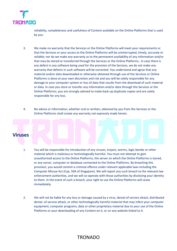

reliability, completeness and usefulness of Content available on the Online Platforms that is used by you.

- 3. We make no warranty that the Services or the Online Platforms will meet your requirements or that the Services or your access to the Online Platforms will be uninterrupted, timely, accurate or reliable; nor do we make any warranty as to the permanent availability of any information and/or that may be stored or transferred through the Services or the Online Platforms.. In case there is any defect in any software being used for the provision of the Services, we do not make any warranty that defects in such software will be corrected. You understand and agree that any material and/or data downloaded or otherwise obtained through use of the Services or Online Platforms is done at your own discretion and risk and you will be solely responsible for any damage to your computer system or loss of data that results from the download of such material or data. In case you store or transfer any information and/or data through the Services or the Online Platforms, you are strongly advised to make back-up duplicate copies and are solely responsible for any loss.
- 4. No advice or information, whether oral or written, obtained by you from the Services or the Online Platforms shall create any warranty not expressly made herein.



- 1. You will be responsible for introduction of any viruses, trojans, worms, logic bombs or other material which is malicious or technologically harmful. You must not attempt to gain unauthorised access to the Online Platforms, the server on which the Online Platforms is stored, or any server, computer or database connected to the Online Platforms. By breaching this provision, you would commit a criminal offence under relevant applicable laws including the Computer Misuse Act (Cap. 50A of Singapore). We will report any such breach to the relevant law enforcement authorities, and we will co-operate with those authorities by disclosing your identity to them. In the event of such a breach, your right to use the Online Platforms will cease immediately.
- 2. We will not be liable for any loss or damage caused by a virus, denial-of-service attack, distributed denial- of-service attack, or other technologically harmful material that may infect your computer equipment, computer programs, data or other proprietary material due to your use of the Online Platforms or your downloading of any Content on it, or on any website linked to it.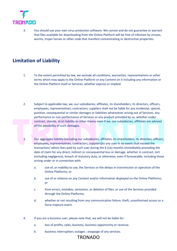

3. You should use your own virus protection software. We cannot and do not guarantee or warrant that files available for downloading from the Online Platform will be free of infection by viruses, worms, trojan horses or other code that manifest contaminating or destructive properties.

# **Limitation of Liability**

- 1. To the extent permitted by law, we exclude all conditions, warranties, representations or other terms which may apply to the Online Platform or any Content on it including any information or the Online Platform itself or Services, whether express or implied.
- 2. Subject to applicable law, we, our subsidiaries, affiliates, its shareholders, its directors, officers, employees, representatives, contractors, suppliers shall not be liable for any incidental, special, punitive, consequential or similar damages or liabilities whatsoever arising out of Services, any performance or non-performance of Services or any product provided by us, whether under contract, statute, strict liability or other theory even if we, our subsidiaries, affiliates are advised of the possibility of such damages.
- 3. Our aggregate liability (including our subsidiaries, affiliates, its shareholders, its directors, officers, employees, representatives, contractors, suppliers)to any user in no event shall exceed the transaction/ admin fees paid by such user during the 6 (six) months immediately preceding the date of claim for any direct, indirect or consequential loss or damage, whether in contract, tort (including negligence), breach of statutory duty, or otherwise, even if foreseeable, including those arising under or in connection with:
	- a. use of, or inability to use, the Services or the delays in transmission or operation of the Online Platforms; or
	- b. use of or reliance on any Content and/or information displayed on the Online Platforms; or
	- c. from errors, mistakes, omissions, or deletion of files; or use of the Services provided through the Online Platforms;
	- d. whether or not resulting from any communication failure, theft, unauthorised access or a force majeure event.
- 4. If you are a business user, please note that, we will not be liable for:
	- a. loss of profits, sales, business, business opportunity or revenue.
	- b. business interruption; outages ; stoppage of any services.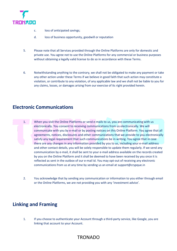

- c. loss of anticipated savings;
- d. loss of business opportunity, goodwill or reputation
- 5. Please note that all Services provided through the Online Platforms are only for domestic and private use. You agree not to use the Online Platforms for any commercial or business purposes without obtaining a legally valid license to do so in accordance with these Terms.
- 6. Notwithstanding anything to the contrary, we shall not be obligated to make any payment or take any other action under these Terms if we believe in good faith that such action may constitute a violation, or contribute to any violation, of any applicable law and we shall not be liable to you for any claims, losses, or damages arising from our exercise of its right provided herein.

#### **Electronic Communications**

- 1. When you visit the Online Platforms or send e-mails to us, you are communicating with us electronically. You consent to receiving communications from us electronically. We will communicate with you by e-mail or by posting notices on this Online Platform. You agree that all agreements, notices, disclosures and other communications that we provide to you electronically satisfy any legal requirement that such communications be in writing. You agree that in case there are any changes in any information provided by you to us, including your e-mail address and other contact details, you will be solely responsible to update them regularly. If we send any communication by e-mail, it shall be sent to your e-mail address available on the records created by you on the Online Platform and it shall be deemed to have been received by you once it is reflected as sent in the outbox of our e-mail id. You may opt-out of receiving any electronic communications from us at any time by sending us an email at support@crypque.in
- 2. You acknowledge that by sending any communication or information to you either through email or the Online Platforms, we are not providing you with any 'investment advice'.

# **Linking and Framing**

1. If you choose to authenticate your Account through a third-party service, like Google, you are linking that account to your Account.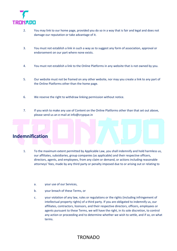

- 2. You may link to our home page, provided you do so in a way that is fair and legal and does not damage our reputation or take advantage of it.
- 3. You must not establish a link in such a way as to suggest any form of association, approval or endorsement on our part where none exists.
- 4. You must not establish a link to the Online Platforms in any website that is not owned by you.
- 5. Our website must not be framed on any other website, nor may you create a link to any part of the Online Platforms other than the home page.
- 6. We reserve the right to withdraw linking permission without notice.
- 7. If you wish to make any use of Content on the Online Platforms other than that set out above, please send us an e-mail at info@crypque.in



- 1. To the maximum extent permitted by Applicable Law, you shall indemnify and hold harmless us, our affiliates, subsidiaries, group companies (as applicable) and their respective officers, directors, agents, and employees, from any claim or demand, or actions including reasonable attorneys' fees, made by any third party or penalty imposed due to or arising out or relating to
	- a. your use of our Services,
	- b. your breach of these Terms, or
	- c. your violation of any law, rules or regulations or the rights (including infringement of intellectual property rights) of a third party. If you are obligated to indemnify us, our affiliates, contractors, licensors, and their respective directors, officers, employees or agents pursuant to these Terms, we will have the right, in its sole discretion, to control any action or proceeding and to determine whether we wish to settle, and if so, on what terms.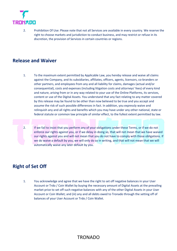

2. Prohibition Of Use: Please note that not all Services are available in every country. We reserve the right to choose markets and jurisdiction to conduct business, and may restrict or refuse in its discretion, the provision of Services in certain countries or regions.

#### **Release and Waiver**

- 1. To the maximum extent permitted by Applicable Law, you hereby release and waive all claims against the Company, and its subsidiaries, affiliates, officers, agents, licensors, co-branders or other partners, and employees from any and all liability for claims, damages (actual and/or consequential), costs and expenses (including litigation costs and attorneys' fees) of every kind and nature, arising from or in any way related to your use of the Online Platforms, its services, content or use of the Digital Assets. You understand that any fact relating to any matter covered by this release may be found to be other than now believed to be true and you accept and assume the risk of such possible differences in fact. In addition, you expressly waive and relinquish any and all rights and benefits which you may have under any other national, state or federal statute or common law principle of similar effect, to the fullest extent permitted by law.
- 2. If we fail to insist that you perform any of your obligations under these Terms, or if we do not enforce our rights against you, or if we delay in doing so, that will not mean that we have waived our rights against you and will not mean that you do not have to comply with those obligations. If we do waive a default by you, we will only do so in writing, and that will not mean that we will automatically waive any later default by you.

# **Right of Set Off**

1. You acknowledge and agree that we have the right to set off negative balances in your User Account or Trdo / Coin Wallet by buying the necessary amount of Digital Assets at the prevailing market price to set off such negative balances with any of the other Digital Assets in your User Account or Coin Wallet; and (iii) any and all debts owed to Tronado through the setting off of balances of your User Account or Trdo / Coin Wallet.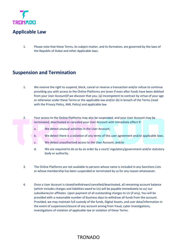

1. Please note that these Terms, its subject matter, and its formation, are governed by the laws of the Republic of Dubai and other Applicable laws.

### **Suspension and Termination**

- 1. We reserve the right to suspend, block, cancel or reverse a transaction and/or refuse to continue providing you with access to the Online Platforms are (even if even after funds have been debited from your User Account)if we discover that you: (a) incompetent to contract by virtue of your age or otherwise under these Terms or the applicable law and/or (b) in breach of the Terms (read with the Privacy Policy, AML Policy) and applicable law.
- 2. Your access to the Online Platforms may also be suspended, and your User Account may be terminated, deactivated or canceled your User Account with immediate effect if:
	- a. We detect unusual activities in the User Account;
	- b. We detect there is a violation of any terms of this user agreement and/or applicable laws.
	- c. We detect unauthorized access to the User Account; and/or
	- d. We are required to do so by an order by a court/ regulatory/government and/or statutory body or authority.
- 3. The Online Platforms are not available to persons whose name is included in any Sanctions Lists or whose membership has been suspended or terminated by us for any reason whatsoever.
- 4. Once a User Account is closed/withdrawn/cancelled/deactivated, all remaining account balance (which includes charges and liabilities owed to Us) will be payable immediately to us/ our subsidiaries/or affiliates. Upon payment of all outstanding charges to Us (if any), You will be provided with a reasonable number of business days to withdraw all funds from the account. Provided, we may maintain full custody of the funds, Digital Assets, and user data/information in the event of suspension/closure of any account arising from fraud, cyber investigations, investigations of violation of applicable law or violation of these Terms.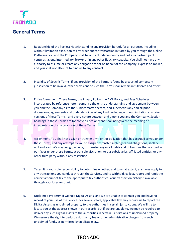

#### **General Terms**

- 1. Relationship of the Parties: Notwithstanding any provision hereof, for all purposes including without limitation execution of any order and/or transaction initiated by you through the Online Platforms, you and the Company shall be and act independently and not as a partner, joint ventures, agent, intermediary, broker or in any other fiduciary capacity. You shall not have any authority to assume or create any obligation for or on behalf of the Company, express or implied, and you shall not attempt to bind us to any contract.
- 2. Invalidity of Specific Terms: If any provision of the Terms is found by a court of competent jurisdiction to be invalid, other provisions of such the Terms shall remain in full force and effect.
- 3. Entire Agreement: These Terms, the Privacy Policy, the AML Policy, and Fees Schedules incorporated by reference herein comprise the entire understanding and agreement between you and the Company as to the subject matter hereof, and supersedes any and all prior discussions, agreements and understandings of any kind (including without limitation any prior versions of these Terms), and every nature between and among you and the Company. Section headings in these Terms are for convenience only and shall not govern the meaning or interpretation of any provision of these Terms.
- 4. Assignment: You shall not assign or transfer any right or obligation that has accrued to you under these Terms, and any attempt by you to assign or transfer such rights and obligations, shall be null and void. We may assign, novate, or transfer any or all rights and obligations that accrued in our favor under these Terms, at our sole discretion, to our subsidiaries, affiliated entities, or any other third party without any restriction.
- 5. Taxes. It is your sole responsibility to determine whether, and to what extent, any taxes apply to any transactions you conduct through the Services, and to withhold, collect, report and remit the correct amount of tax to the appropriate tax authorities. Your transaction history is available through your User Account.
- 6. Unclaimed Property. If we hold Digital Assets, and we are unable to contact you and have no record of your use of the Services for several years, applicable law may require us to report the Digital Assets as unclaimed property to the authorities in certain jurisdictions. We will try to locate you at the address shown in our records, but if we are unable to, we may be required to deliver any such Digital Assets to the authorities in certain jurisdictions as unclaimed property. We reserve the right to deduct a dormancy fee or other administrative charges from such unclaimed funds, as permitted by applicable law.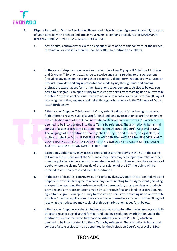

- 7. Dispute Resolution: Dispute Resolution. Please read this Arbitration Agreement carefully. It is part of your contract with Tronado and affects your rights. It contains procedures for MANDATORY BINDING ARBITRATION AND A CLASS ACTION WAIVER.
	- a. Any dispute, controversy or claim arising out of or relating to this contract, or the breach, termination or invalidity thereof, shall be settled by arbitration as follows:
	- i. In the case of disputes, controversies or claims involving Crypque IT Solutions L.L.C: You and Crypque IT Solutions L.L.C agree to resolve any claims relating to this Agreement (including any question regarding their existence, validity, termination, or any services or products provided and any representations made by us) through final and binding arbitration, except as set forth under Exceptions to Agreement to Arbitrate below. You agree to first give us an opportunity to resolve any claims by contacting us on our website / mobile / desktop applications. If we are not able to resolve your claims within 90 days of receiving the notice, you may seek relief through arbitration or in the Tribunals of Dubai, as set forth below.
	- ii. Either you or Crypque IT Solutions L.L.C may submit a dispute (after having made good faith efforts to resolve such dispute) for final and binding resolution by arbitration under the arbitration rules of the Dubai International Arbitration Centre ("DIAC"), which are deemed to be incorporated into these Terms by reference. The arbitration tribunal shall consist of a sole arbitrator to be appointed by the Arbitration Court's Approval of DIAC. The language of the arbitration hearings shall be English and the seat, or legal place, of arbitration shall be Dubai. JUDGMENT ON ANY ARBITRAL AWARD MAY BE GIVEN IN ANY COURT HAVING JURISDICTION OVER THE PARTY (OR OVER THE ASSETS OF THE PARTY) AGAINST WHOM SUCH AN AWARD IS RENDERED.
	- iii. Exceptions. Either party may instead choose to assert the claims in the SCT if the claims fall within the jurisdiction of the SCT, and either party may seek injunctive relief or other urgent equitable relief in a court of competent jurisdiction. However, for the avoidance of doubt, where the claims fall outside of the jurisdiction of the SCT, the claims will be referred to and finally resolved by DIAC arbitration.
	- iv. In the case of disputes, controversies or claims involving Crypque Private Limited, you and Crypque Private Limited agree to resolve any claims relating to this Agreement (including any question regarding their existence, validity, termination, or any services or products provided and any representations made by us) through final and binding arbitration. You agree to first give us an opportunity to resolve any claims by contacting us on our website / mobile / desktop applications. If we are not able to resolve your claims within 90 days of receiving the notice, you may seek relief through arbitration as set forth below.
	- v. Either you or Crypque Private Limited may submit a dispute (after having made good faith efforts to resolve such dispute) for final and binding resolution by arbitration under the arbitration rules of the Dubai International Arbitration Centre ("DIAC"), which are deemed to be incorporated into these Terms by reference. The arbitration tribunal shall consist of a sole arbitrator to be appointed by the Arbitration Court's Approval of DIAC.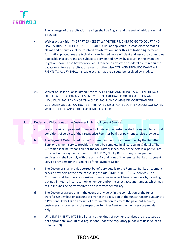

The language of the arbitration hearings shall be English and the seat of arbitration shall be Dubai.

- vi. Waiver of Jury Trial. THE PARTIES HEREBY WAIVE THEIR RIGHTS TO GO TO COURT AND HAVE A TRIAL IN FRONT OF A JUDGE OR A JURY, as applicable, instead electing that all claims and disputes shall be resolved by arbitration under this Arbitration Agreement. Arbitration procedures are typically more limited, more efficient and less costly than rules applicable in a court and are subject to very limited review by a court. In the event any litigation should arise between you and Tronado in any state or federal court in a suit to vacate or enforce an arbitration award or otherwise, YOU AND TRONADO WAIVE ALL RIGHTS TO A JURY TRIAL, instead electing that the dispute be resolved by a judge.
- vii. Waiver of Class or Consolidated Actions. ALL CLAIMS AND DISPUTES WITHIN THE SCOPE OF THIS ARBITRATION AGREEMENT MUST BE ARBITRATED OR LITIGATED ON AN INDIVIDUAL BASIS AND NOT ON A CLASS BASIS, AND CLAIMS OF MORE THAN ONE CUSTOMER OR USER CANNOT BE ARBITRATED OR LITIGATED JOINTLY OR CONSOLIDATED WITH THOSE OF ANY OTHER CUSTOMER OR USER.
- 8. Duties and Obligations of the Customer in lieu of Payment Services:
	- a. For processing of payment orders with Tronado, the customer shall be subject to terms & conditions of service, of their respective Remitter banks or payment service providers.
	- b. The Payment Order issued by the Customer, in the form as prescribed by the Remitter Bank or payment service providers, should be complete in all particulars & details. The Customer shall be responsible for the accuracy or inaccuracy of the details & particulars provided in the Payment Order for UPI / IMPS /NEFT / RTGS or any other payment services and shall comply with the terms & conditions of the remitter banks or payment service providers for the issuance of the Payment Order.
	- c. The Customer shall provide correct beneficiary details to the Remitter Banks or payment service providers at the time of availing the UPI / IMPS / NEFT / RTGS services. The Customer shall be solely responsible for entering incorrect beneficiary details, including but not limited to incorrect mobile number and/or incorrect account number, which may result in funds being transferred to an incorrect beneficiary.
	- d. The Customer agrees that in the event of any delay in the completion of the funds transfer OR any loss on account of error in the execution of the funds transfer pursuant to a Payment Order OR on account of error in relation to any of the payment services, customer shall connect to the respective Remitter Bank or payment service providers only.
	- e. UPI / IMPS / NEFT / RTGS & all or any other kinds of payment services are processed as per appropriate laws, rules & regulations under the regulatory purview of Reserve bank of India (RBI).